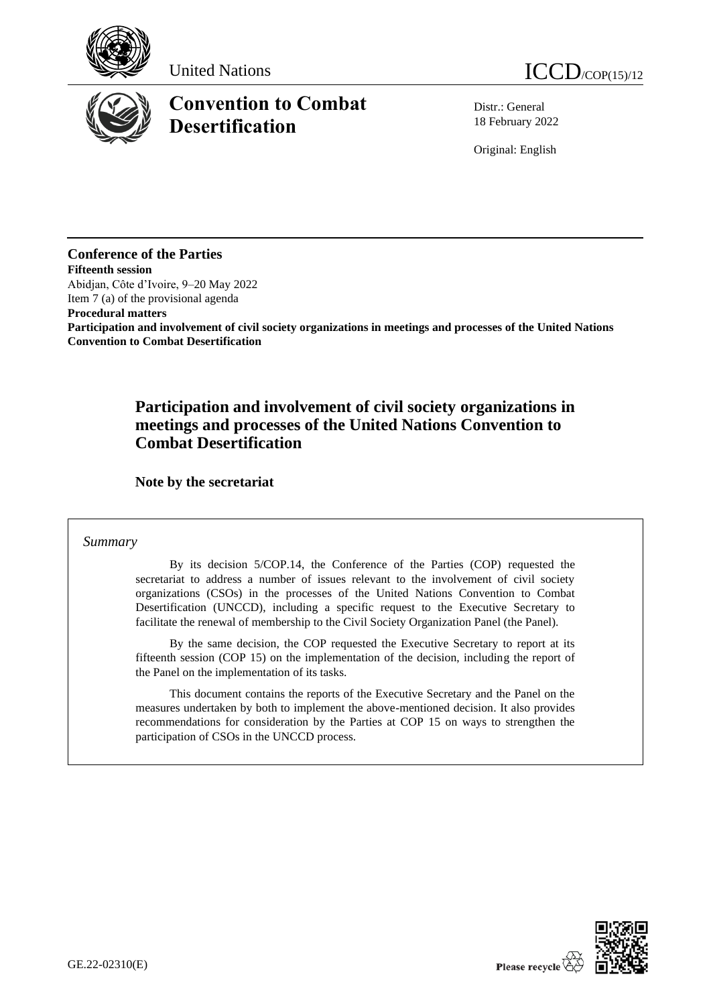





# **Convention to Combat Desertification**

Distr.: General 18 February 2022

Original: English

# **Conference of the Parties**

**Fifteenth session**  Abidjan, Côte d'Ivoire, 9–20 May 2022 Item 7 (a) of the provisional agenda

**Procedural matters**

**Participation and involvement of civil society organizations in meetings and processes of the United Nations Convention to Combat Desertification**

# **Participation and involvement of civil society organizations in meetings and processes of the United Nations Convention to Combat Desertification**

**Note by the secretariat**

## *Summary*

By its decision 5/COP.14, the Conference of the Parties (COP) requested the secretariat to address a number of issues relevant to the involvement of civil society organizations (CSOs) in the processes of the United Nations Convention to Combat Desertification (UNCCD), including a specific request to the Executive Secretary to facilitate the renewal of membership to the Civil Society Organization Panel (the Panel).

By the same decision, the COP requested the Executive Secretary to report at its fifteenth session (COP 15) on the implementation of the decision, including the report of the Panel on the implementation of its tasks.

This document contains the reports of the Executive Secretary and the Panel on the measures undertaken by both to implement the above-mentioned decision. It also provides recommendations for consideration by the Parties at COP 15 on ways to strengthen the participation of CSOs in the UNCCD process.

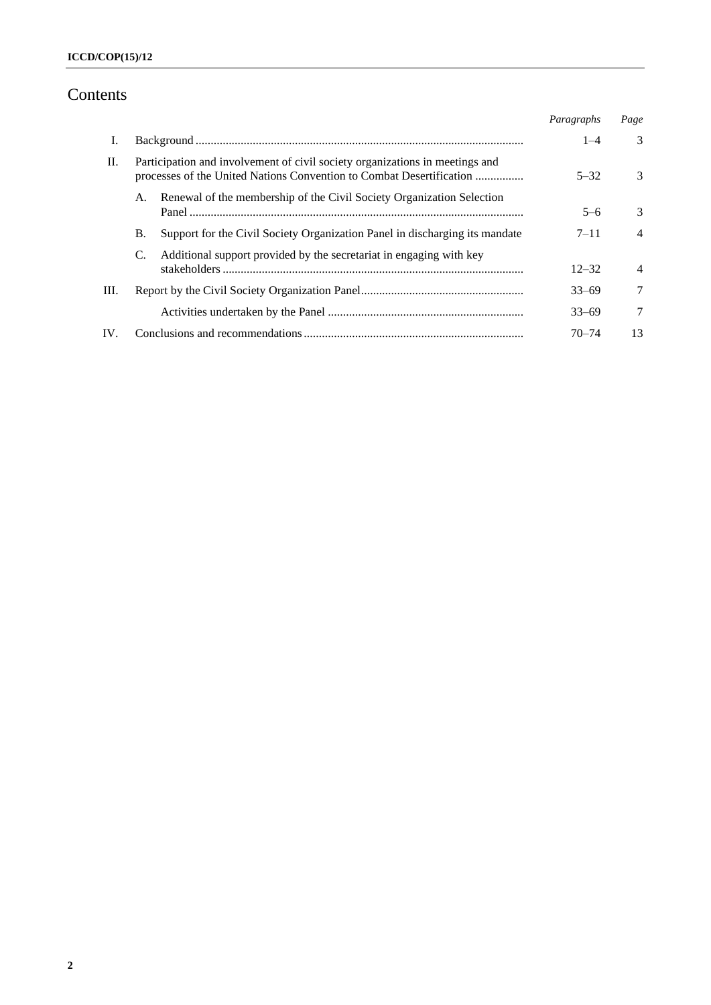# Contents

|      |                                                                                                                                                      |                                                                             | Paragraphs | Page           |
|------|------------------------------------------------------------------------------------------------------------------------------------------------------|-----------------------------------------------------------------------------|------------|----------------|
| Ι.   |                                                                                                                                                      |                                                                             | $1 - 4$    | $\mathcal{R}$  |
| П.   | Participation and involvement of civil society organizations in meetings and<br>processes of the United Nations Convention to Combat Desertification |                                                                             | $5 - 32$   | 3              |
|      | А.                                                                                                                                                   | Renewal of the membership of the Civil Society Organization Selection       | $5-6$      | 3              |
|      | <b>B.</b>                                                                                                                                            | Support for the Civil Society Organization Panel in discharging its mandate | $7 - 11$   | $\overline{4}$ |
|      | C.                                                                                                                                                   | Additional support provided by the secretariat in engaging with key         |            |                |
|      |                                                                                                                                                      |                                                                             | $12 - 32$  | $\overline{4}$ |
| III. |                                                                                                                                                      |                                                                             | $33 - 69$  | 7              |
|      |                                                                                                                                                      |                                                                             | $33 - 69$  | 7              |
| IV.  |                                                                                                                                                      |                                                                             | $70 - 74$  | 13             |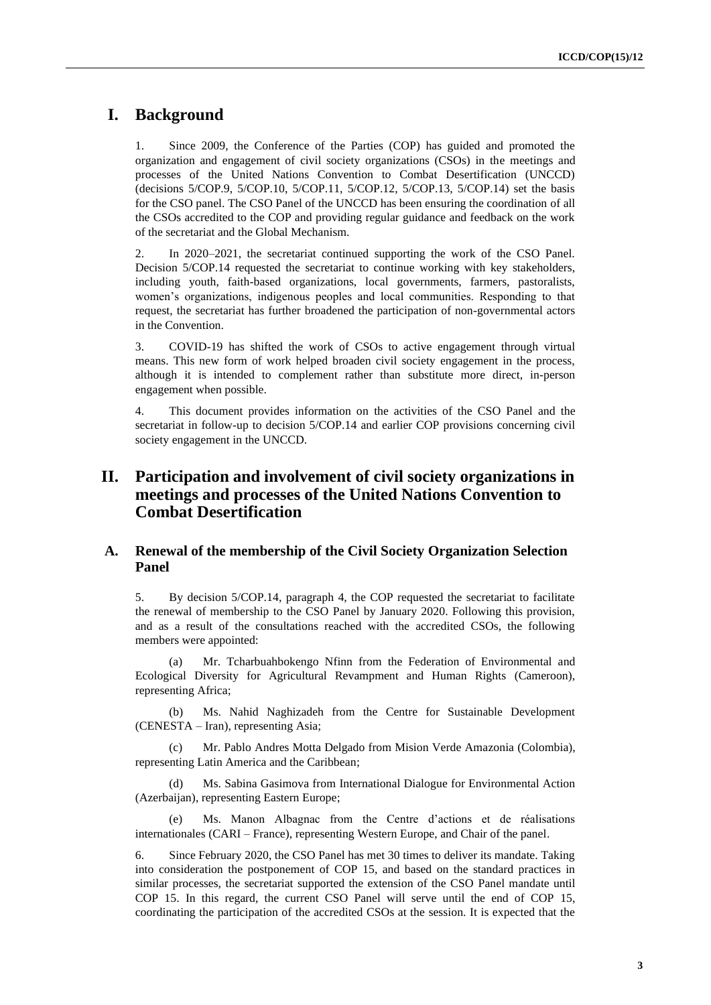## **I. Background**

1. Since 2009, the Conference of the Parties (COP) has guided and promoted the organization and engagement of civil society organizations (CSOs) in the meetings and processes of the United Nations Convention to Combat Desertification (UNCCD) (decisions 5/COP.9, 5/COP.10, 5/COP.11, 5/COP.12, 5/COP.13, 5/COP.14) set the basis for the CSO panel. The CSO Panel of the UNCCD has been ensuring the coordination of all the CSOs accredited to the COP and providing regular guidance and feedback on the work of the secretariat and the Global Mechanism.

2. In 2020–2021, the secretariat continued supporting the work of the CSO Panel. Decision 5/COP.14 requested the secretariat to continue working with key stakeholders, including youth, faith-based organizations, local governments, farmers, pastoralists, women's organizations, indigenous peoples and local communities. Responding to that request, the secretariat has further broadened the participation of non-governmental actors in the Convention.

3. COVID-19 has shifted the work of CSOs to active engagement through virtual means. This new form of work helped broaden civil society engagement in the process, although it is intended to complement rather than substitute more direct, in-person engagement when possible.

4. This document provides information on the activities of the CSO Panel and the secretariat in follow-up to decision 5/COP.14 and earlier COP provisions concerning civil society engagement in the UNCCD.

# **II. Participation and involvement of civil society organizations in meetings and processes of the United Nations Convention to Combat Desertification**

## **A. Renewal of the membership of the Civil Society Organization Selection Panel**

5. By decision 5/COP.14, paragraph 4, the COP requested the secretariat to facilitate the renewal of membership to the CSO Panel by January 2020. Following this provision, and as a result of the consultations reached with the accredited CSOs, the following members were appointed:

(a) Mr. Tcharbuahbokengo Nfinn from the Federation of Environmental and Ecological Diversity for Agricultural Revampment and Human Rights (Cameroon), representing Africa;

(b) Ms. Nahid Naghizadeh from the Centre for Sustainable Development (CENESTA – Iran), representing Asia;

(c) Mr. Pablo Andres Motta Delgado from Mision Verde Amazonia (Colombia), representing Latin America and the Caribbean;

(d) Ms. Sabina Gasimova from International Dialogue for Environmental Action (Azerbaijan), representing Eastern Europe;

(e) Ms. Manon Albagnac from the Centre d'actions et de réalisations internationales (CARI – France), representing Western Europe, and Chair of the panel.

6. Since February 2020, the CSO Panel has met 30 times to deliver its mandate. Taking into consideration the postponement of COP 15, and based on the standard practices in similar processes, the secretariat supported the extension of the CSO Panel mandate until COP 15. In this regard, the current CSO Panel will serve until the end of COP 15, coordinating the participation of the accredited CSOs at the session. It is expected that the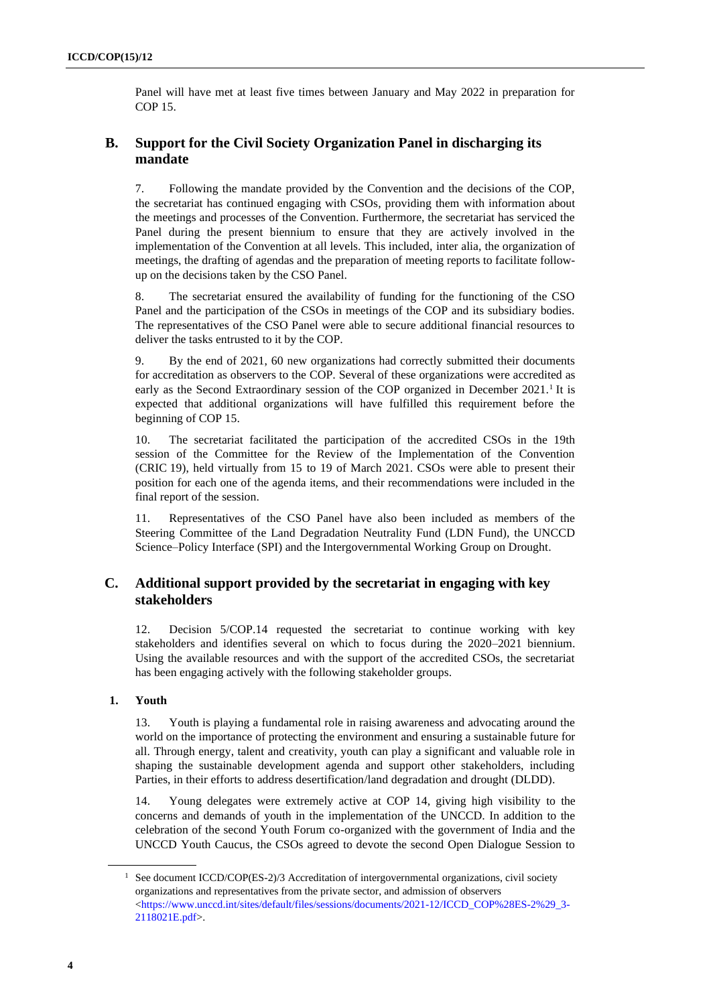Panel will have met at least five times between January and May 2022 in preparation for COP 15.

## **B. Support for the Civil Society Organization Panel in discharging its mandate**

7. Following the mandate provided by the Convention and the decisions of the COP, the secretariat has continued engaging with CSOs, providing them with information about the meetings and processes of the Convention. Furthermore, the secretariat has serviced the Panel during the present biennium to ensure that they are actively involved in the implementation of the Convention at all levels. This included, inter alia, the organization of meetings, the drafting of agendas and the preparation of meeting reports to facilitate followup on the decisions taken by the CSO Panel.

8. The secretariat ensured the availability of funding for the functioning of the CSO Panel and the participation of the CSOs in meetings of the COP and its subsidiary bodies. The representatives of the CSO Panel were able to secure additional financial resources to deliver the tasks entrusted to it by the COP.

9. By the end of 2021, 60 new organizations had correctly submitted their documents for accreditation as observers to the COP. Several of these organizations were accredited as early as the Second Extraordinary session of the COP organized in December  $2021<sup>1</sup>$  It is expected that additional organizations will have fulfilled this requirement before the beginning of COP 15.

10. The secretariat facilitated the participation of the accredited CSOs in the 19th session of the Committee for the Review of the Implementation of the Convention (CRIC 19), held virtually from 15 to 19 of March 2021. CSOs were able to present their position for each one of the agenda items, and their recommendations were included in the final report of the session.

11. Representatives of the CSO Panel have also been included as members of the Steering Committee of the Land Degradation Neutrality Fund (LDN Fund), the UNCCD Science–Policy Interface (SPI) and the Intergovernmental Working Group on Drought.

## **C. Additional support provided by the secretariat in engaging with key stakeholders**

12. Decision 5/COP.14 requested the secretariat to continue working with key stakeholders and identifies several on which to focus during the 2020–2021 biennium. Using the available resources and with the support of the accredited CSOs, the secretariat has been engaging actively with the following stakeholder groups.

## **1. Youth**

13. Youth is playing a fundamental role in raising awareness and advocating around the world on the importance of protecting the environment and ensuring a sustainable future for all. Through energy, talent and creativity, youth can play a significant and valuable role in shaping the sustainable development agenda and support other stakeholders, including Parties, in their efforts to address desertification/land degradation and drought (DLDD).

14. Young delegates were extremely active at COP 14, giving high visibility to the concerns and demands of youth in the implementation of the UNCCD. In addition to the celebration of the second Youth Forum co-organized with the government of India and the UNCCD Youth Caucus, the CSOs agreed to devote the second Open Dialogue Session to

<sup>&</sup>lt;sup>1</sup> See document ICCD/COP(ES-2)/3 Accreditation of intergovernmental organizations, civil society organizations and representatives from the private sector, and admission of observers  $\lt$ https://www.unccd.int/sites/default/files/sessions/documents/2021-12/ICCD\_COP%28ES-2%29\_3-[2118021E.pdf>](https://www.unccd.int/sites/default/files/sessions/documents/2021-12/ICCD_COP%28ES-2%29_3-2118021E.pdf).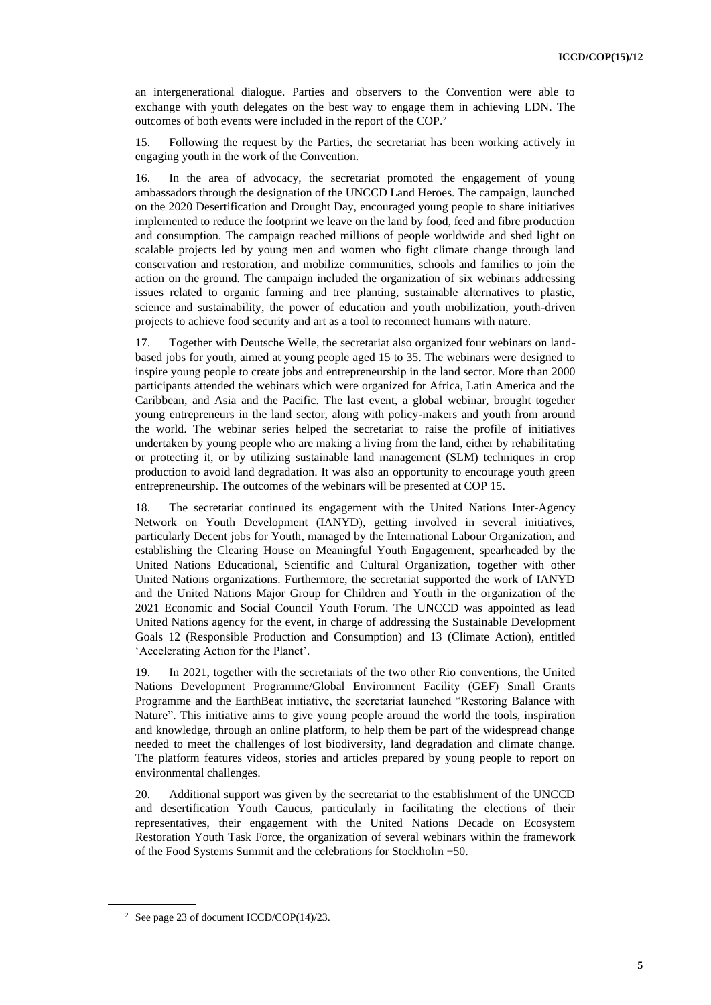an intergenerational dialogue. Parties and observers to the Convention were able to exchange with youth delegates on the best way to engage them in achieving LDN. The outcomes of both events were included in the report of the COP.<sup>2</sup>

15. Following the request by the Parties, the secretariat has been working actively in engaging youth in the work of the Convention.

16. In the area of advocacy, the secretariat promoted the engagement of young ambassadors through the designation of the UNCCD Land Heroes. The campaign, launched on the 2020 Desertification and Drought Day, encouraged young people to share initiatives implemented to reduce the footprint we leave on the land by food, feed and fibre production and consumption. The campaign reached millions of people worldwide and shed light on scalable projects led by young men and women who fight climate change through land conservation and restoration, and mobilize communities, schools and families to join the action on the ground. The campaign included the organization of six webinars addressing issues related to organic farming and tree planting, sustainable alternatives to plastic, science and sustainability, the power of education and youth mobilization, youth-driven projects to achieve food security and art as a tool to reconnect humans with nature.

17. Together with Deutsche Welle, the secretariat also organized four webinars on landbased jobs for youth, aimed at young people aged 15 to 35. The webinars were designed to inspire young people to create jobs and entrepreneurship in the land sector. More than 2000 participants attended the webinars which were organized for Africa, Latin America and the Caribbean, and Asia and the Pacific. The last event, a global webinar, brought together young entrepreneurs in the land sector, along with policy-makers and youth from around the world. The webinar series helped the secretariat to raise the profile of initiatives undertaken by young people who are making a living from the land, either by rehabilitating or protecting it, or by utilizing sustainable land management (SLM) techniques in crop production to avoid land degradation. It was also an opportunity to encourage youth green entrepreneurship. The outcomes of the webinars will be presented at COP 15.

18. The secretariat continued its engagement with the United Nations Inter-Agency Network on Youth Development (IANYD), getting involved in several initiatives, particularly Decent jobs for Youth, managed by the International Labour Organization, and establishing the Clearing House on Meaningful Youth Engagement, spearheaded by the United Nations Educational, Scientific and Cultural Organization, together with other United Nations organizations. Furthermore, the secretariat supported the work of IANYD and the United Nations Major Group for Children and Youth in the organization of the 2021 Economic and Social Council Youth Forum. The UNCCD was appointed as lead United Nations agency for the event, in charge of addressing the Sustainable Development Goals 12 (Responsible Production and Consumption) and 13 (Climate Action), entitled 'Accelerating Action for the Planet'.

19. In 2021, together with the secretariats of the two other Rio conventions, the United Nations Development Programme/Global Environment Facility (GEF) Small Grants Programme and the EarthBeat initiative, the secretariat launched "Restoring Balance with Nature". This initiative aims to give young people around the world the tools, inspiration and knowledge, through an online platform, to help them be part of the widespread change needed to meet the challenges of lost biodiversity, land degradation and climate change. The platform features videos, stories and articles prepared by young people to report on environmental challenges.

20. Additional support was given by the secretariat to the establishment of the UNCCD and desertification Youth Caucus, particularly in facilitating the elections of their representatives, their engagement with the United Nations Decade on Ecosystem Restoration Youth Task Force, the organization of several webinars within the framework of the Food Systems Summit and the celebrations for Stockholm +50.

<sup>2</sup> See page 23 of document ICCD/COP(14)/23.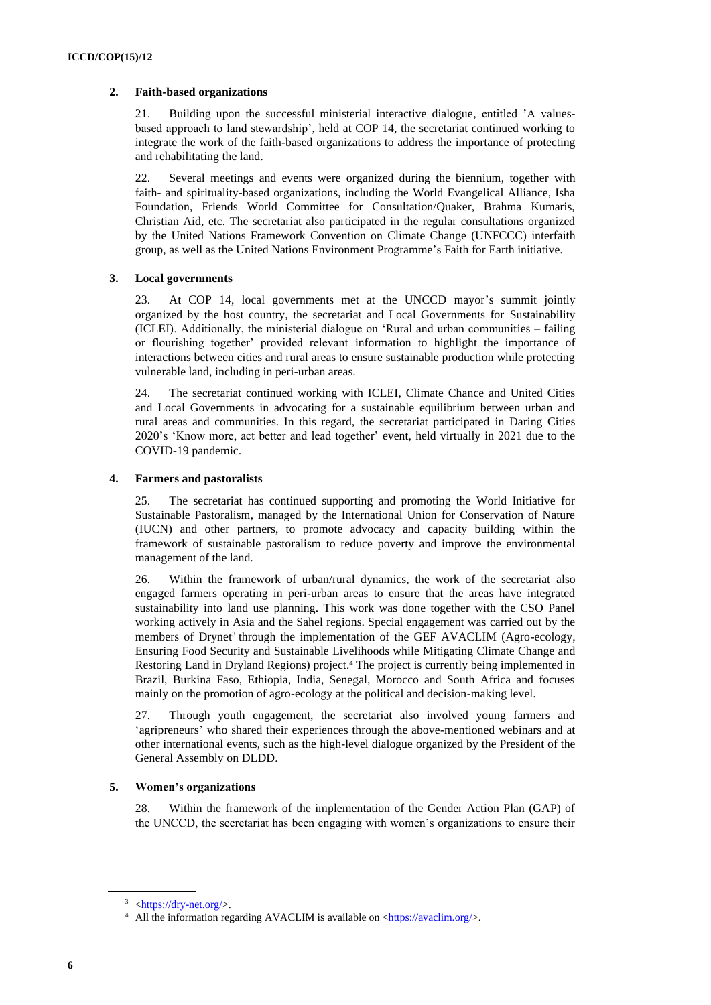## **2. Faith-based organizations**

21. Building upon the successful ministerial interactive dialogue, entitled 'A valuesbased approach to land stewardship', held at COP 14, the secretariat continued working to integrate the work of the faith-based organizations to address the importance of protecting and rehabilitating the land.

22. Several meetings and events were organized during the biennium, together with faith- and spirituality-based organizations, including the World Evangelical Alliance, Isha Foundation, Friends World Committee for Consultation/Quaker, Brahma Kumaris, Christian Aid, etc. The secretariat also participated in the regular consultations organized by the United Nations Framework Convention on Climate Change (UNFCCC) interfaith group, as well as the United Nations Environment Programme's Faith for Earth initiative.

## **3. Local governments**

23. At COP 14, local governments met at the UNCCD mayor's summit jointly organized by the host country, the secretariat and Local Governments for Sustainability (ICLEI). Additionally, the ministerial dialogue on 'Rural and urban communities – failing or flourishing together' provided relevant information to highlight the importance of interactions between cities and rural areas to ensure sustainable production while protecting vulnerable land, including in peri-urban areas.

24. The secretariat continued working with ICLEI, Climate Chance and United Cities and Local Governments in advocating for a sustainable equilibrium between urban and rural areas and communities. In this regard, the secretariat participated in Daring Cities 2020's 'Know more, act better and lead together' event, held virtually in 2021 due to the COVID-19 pandemic.

## **4. Farmers and pastoralists**

25. The secretariat has continued supporting and promoting the World Initiative for Sustainable Pastoralism, managed by the International Union for Conservation of Nature (IUCN) and other partners, to promote advocacy and capacity building within the framework of sustainable pastoralism to reduce poverty and improve the environmental management of the land.

26. Within the framework of urban/rural dynamics, the work of the secretariat also engaged farmers operating in peri-urban areas to ensure that the areas have integrated sustainability into land use planning. This work was done together with the CSO Panel working actively in Asia and the Sahel regions. Special engagement was carried out by the members of Drynet<sup>3</sup> through the implementation of the GEF AVACLIM (Agro-ecology, Ensuring Food Security and Sustainable Livelihoods while Mitigating Climate Change and Restoring Land in Dryland Regions) project. <sup>4</sup> The project is currently being implemented in Brazil, Burkina Faso, Ethiopia, India, Senegal, Morocco and South Africa and focuses mainly on the promotion of agro-ecology at the political and decision-making level.

27. Through youth engagement, the secretariat also involved young farmers and 'agripreneurs' who shared their experiences through the above-mentioned webinars and at other international events, such as the high-level dialogue organized by the President of the General Assembly on DLDD.

## **5. Women's organizations**

28. Within the framework of the implementation of the Gender Action Plan (GAP) of the UNCCD, the secretariat has been engaging with women's organizations to ensure their

 $3$  [<https://dry-net.org/>](https://dry-net.org/).

<sup>&</sup>lt;sup>4</sup> All the information regarding AVACLIM is available on  $\langle \frac{https://avaclim.org/}{\rangle}$ .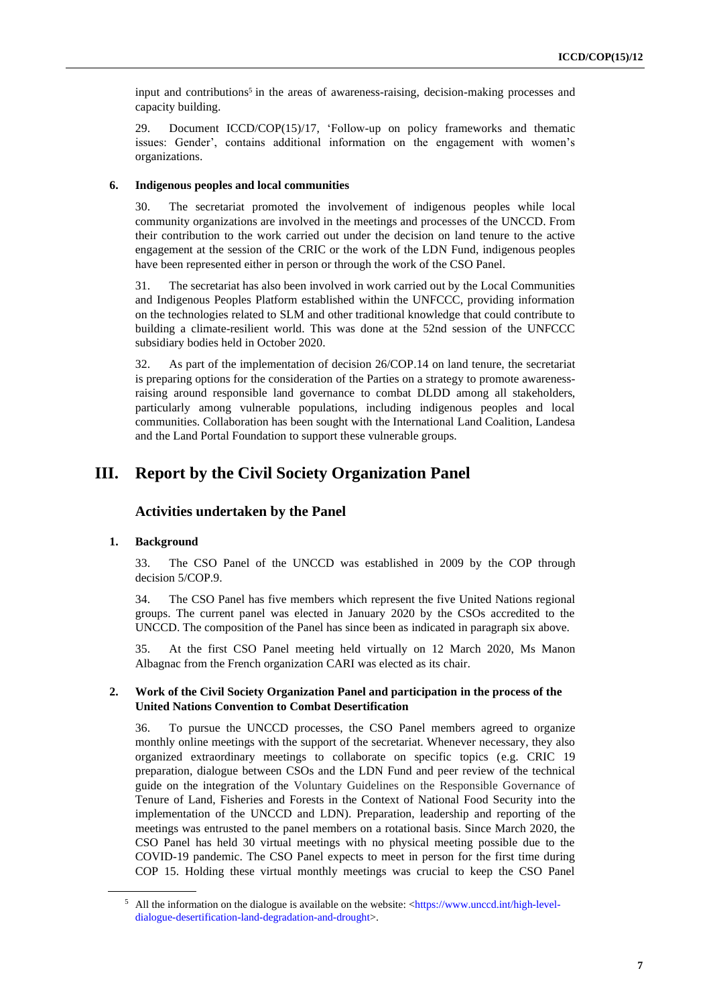input and contributions<sup>5</sup> in the areas of awareness-raising, decision-making processes and capacity building.

29. Document ICCD/COP(15)/17, 'Follow-up on policy frameworks and thematic issues: Gender', contains additional information on the engagement with women's organizations.

#### **6. Indigenous peoples and local communities**

30. The secretariat promoted the involvement of indigenous peoples while local community organizations are involved in the meetings and processes of the UNCCD. From their contribution to the work carried out under the decision on land tenure to the active engagement at the session of the CRIC or the work of the LDN Fund, indigenous peoples have been represented either in person or through the work of the CSO Panel.

31. The secretariat has also been involved in work carried out by the Local Communities and Indigenous Peoples Platform established within the UNFCCC, providing information on the technologies related to SLM and other traditional knowledge that could contribute to building a climate-resilient world. This was done at the 52nd session of the UNFCCC subsidiary bodies held in October 2020.

32. As part of the implementation of decision 26/COP.14 on land tenure, the secretariat is preparing options for the consideration of the Parties on a strategy to promote awarenessraising around responsible land governance to combat DLDD among all stakeholders, particularly among vulnerable populations, including indigenous peoples and local communities. Collaboration has been sought with the International Land Coalition, Landesa and the Land Portal Foundation to support these vulnerable groups.

## **III. Report by the Civil Society Organization Panel**

## **Activities undertaken by the Panel**

#### **1. Background**

33. The CSO Panel of the UNCCD was established in 2009 by the COP through decision 5/COP.9.

34. The CSO Panel has five members which represent the five United Nations regional groups. The current panel was elected in January 2020 by the CSOs accredited to the UNCCD. The composition of the Panel has since been as indicated in paragraph six above.

35. At the first CSO Panel meeting held virtually on 12 March 2020, Ms Manon Albagnac from the French organization CARI was elected as its chair.

#### **2. Work of the Civil Society Organization Panel and participation in the process of the United Nations Convention to Combat Desertification**

36. To pursue the UNCCD processes, the CSO Panel members agreed to organize monthly online meetings with the support of the secretariat. Whenever necessary, they also organized extraordinary meetings to collaborate on specific topics (e.g. CRIC 19 preparation, dialogue between CSOs and the LDN Fund and peer review of the technical guide on the integration of the Voluntary Guidelines on the Responsible Governance of Tenure of Land, Fisheries and Forests in the Context of National Food Security into the implementation of the UNCCD and LDN). Preparation, leadership and reporting of the meetings was entrusted to the panel members on a rotational basis. Since March 2020, the CSO Panel has held 30 virtual meetings with no physical meeting possible due to the COVID-19 pandemic. The CSO Panel expects to meet in person for the first time during COP 15. Holding these virtual monthly meetings was crucial to keep the CSO Panel

<sup>5</sup> All the information on the dialogue is available on the website: [<https://www.unccd.int/high-level](https://www.unccd.int/high-level-dialogue-desertification-land-degradation-and-drought)[dialogue-desertification-land-degradation-and-drought>](https://www.unccd.int/high-level-dialogue-desertification-land-degradation-and-drought).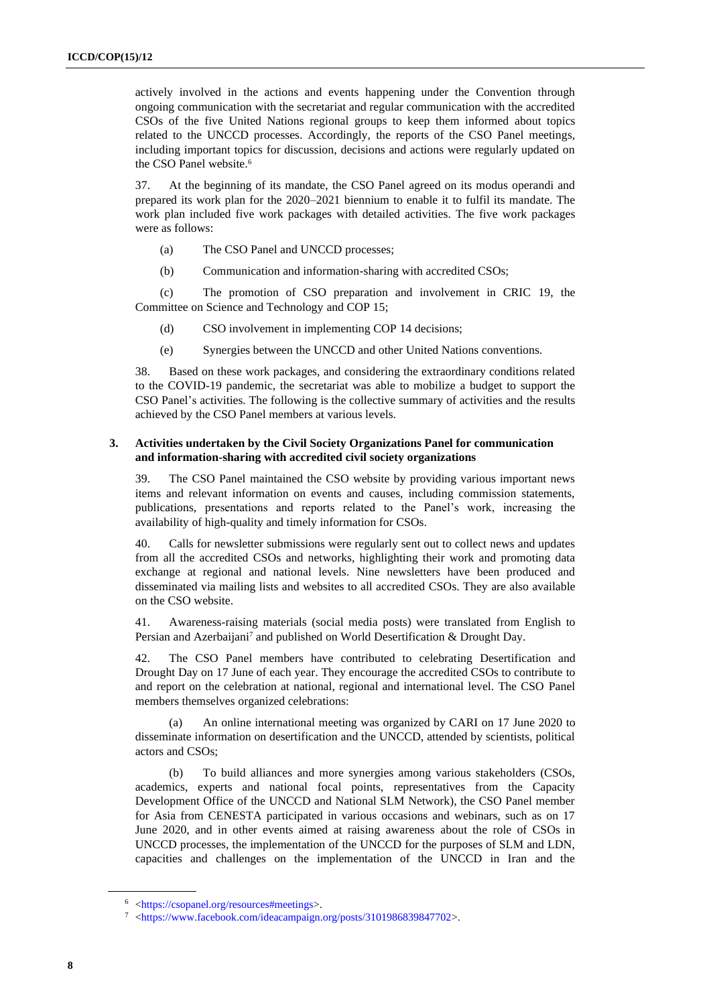actively involved in the actions and events happening under the Convention through ongoing communication with the secretariat and regular communication with the accredited CSOs of the five United Nations regional groups to keep them informed about topics related to the UNCCD processes. Accordingly, the reports of the CSO Panel meetings, including important topics for discussion, decisions and actions were regularly updated on the CSO Panel website.<sup>6</sup>

37. At the beginning of its mandate, the CSO Panel agreed on its modus operandi and prepared its work plan for the 2020–2021 biennium to enable it to fulfil its mandate. The work plan included five work packages with detailed activities. The five work packages were as follows:

- (a) The CSO Panel and UNCCD processes;
- (b) Communication and information-sharing with accredited CSOs;

(c) The promotion of CSO preparation and involvement in CRIC 19, the Committee on Science and Technology and COP 15;

- (d) CSO involvement in implementing COP 14 decisions;
- (e) Synergies between the UNCCD and other United Nations conventions.

38. Based on these work packages, and considering the extraordinary conditions related to the COVID-19 pandemic, the secretariat was able to mobilize a budget to support the CSO Panel's activities. The following is the collective summary of activities and the results achieved by the CSO Panel members at various levels.

#### **3. Activities undertaken by the Civil Society Organizations Panel for communication and information-sharing with accredited civil society organizations**

39. The CSO Panel maintained the CSO website by providing various important news items and relevant information on events and causes, including commission statements, publications, presentations and reports related to the Panel's work, increasing the availability of high-quality and timely information for CSOs.

40. Calls for newsletter submissions were regularly sent out to collect news and updates from all the accredited CSOs and networks, highlighting their work and promoting data exchange at regional and national levels. Nine newsletters have been produced and disseminated via mailing lists and websites to all accredited CSOs. They are also available on the CSO website.

41. Awareness-raising materials (social media posts) were translated from English to Persian and Azerbaijani<sup>7</sup> and published on World Desertification & Drought Day.

42. The CSO Panel members have contributed to celebrating Desertification and Drought Day on 17 June of each year. They encourage the accredited CSOs to contribute to and report on the celebration at national, regional and international level. The CSO Panel members themselves organized celebrations:

An online international meeting was organized by CARI on 17 June 2020 to disseminate information on desertification and the UNCCD, attended by scientists, political actors and CSOs;

(b) To build alliances and more synergies among various stakeholders (CSOs, academics, experts and national focal points, representatives from the Capacity Development Office of the UNCCD and National SLM Network), the CSO Panel member for Asia from CENESTA participated in various occasions and webinars, such as on 17 June 2020, and in other events aimed at raising awareness about the role of CSOs in UNCCD processes, the implementation of the UNCCD for the purposes of SLM and LDN, capacities and challenges on the implementation of the UNCCD in Iran and the

<sup>6</sup> [<https://csopanel.org/resources#meetings>](https://csopanel.org/resources#meetings).

<sup>7</sup> [<https://www.facebook.com/ideacampaign.org/posts/3101986839847702>](https://www.facebook.com/ideacampaign.org/posts/3101986839847702).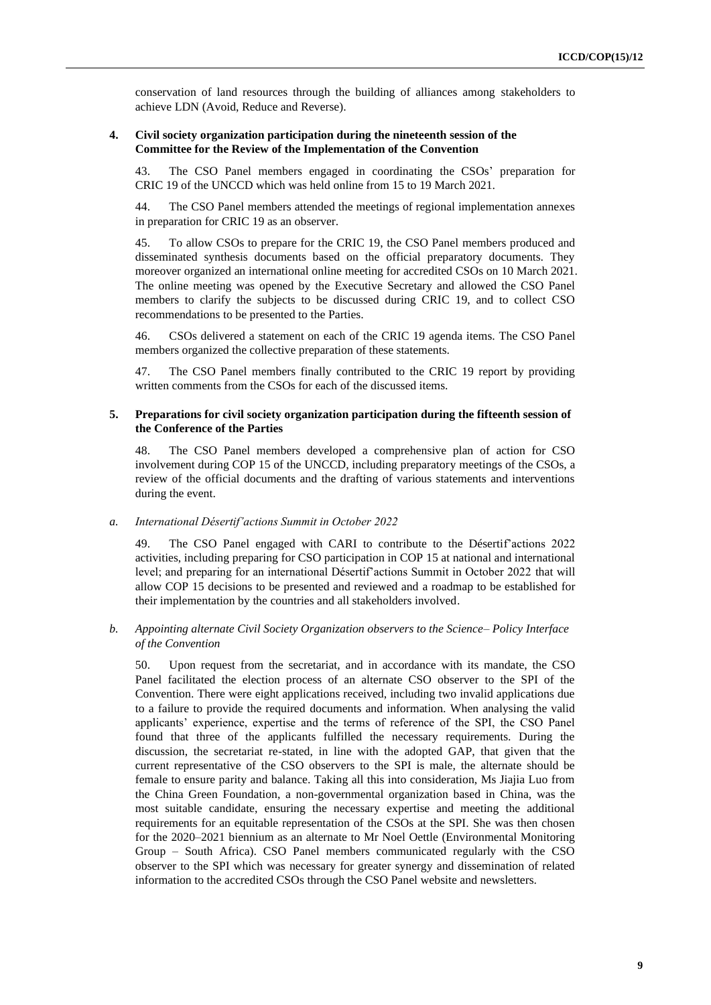conservation of land resources through the building of alliances among stakeholders to achieve LDN (Avoid, Reduce and Reverse).

#### **4. Civil society organization participation during the nineteenth session of the Committee for the Review of the Implementation of the Convention**

43. The CSO Panel members engaged in coordinating the CSOs' preparation for CRIC 19 of the UNCCD which was held online from 15 to 19 March 2021.

44. The CSO Panel members attended the meetings of regional implementation annexes in preparation for CRIC 19 as an observer.

45. To allow CSOs to prepare for the CRIC 19, the CSO Panel members produced and disseminated synthesis documents based on the official preparatory documents. They moreover organized an international online meeting for accredited CSOs on 10 March 2021. The online meeting was opened by the Executive Secretary and allowed the CSO Panel members to clarify the subjects to be discussed during CRIC 19, and to collect CSO recommendations to be presented to the Parties.

46. CSOs delivered a statement on each of the CRIC 19 agenda items. The CSO Panel members organized the collective preparation of these statements.

47. The CSO Panel members finally contributed to the CRIC 19 report by providing written comments from the CSOs for each of the discussed items.

#### **5. Preparations for civil society organization participation during the fifteenth session of the Conference of the Parties**

48. The CSO Panel members developed a comprehensive plan of action for CSO involvement during COP 15 of the UNCCD, including preparatory meetings of the CSOs, a review of the official documents and the drafting of various statements and interventions during the event.

#### *a. International Désertif'actions Summit in October 2022*

49. The CSO Panel engaged with CARI to contribute to the Désertif'actions 2022 activities, including preparing for CSO participation in COP 15 at national and international level; and preparing for an international Désertif'actions Summit in October 2022 that will allow COP 15 decisions to be presented and reviewed and a roadmap to be established for their implementation by the countries and all stakeholders involved.

#### *b. Appointing alternate Civil Society Organization observers to the Science– Policy Interface of the Convention*

50. Upon request from the secretariat, and in accordance with its mandate, the CSO Panel facilitated the election process of an alternate CSO observer to the SPI of the Convention. There were eight applications received, including two invalid applications due to a failure to provide the required documents and information. When analysing the valid applicants' experience, expertise and the terms of reference of the SPI, the CSO Panel found that three of the applicants fulfilled the necessary requirements. During the discussion, the secretariat re-stated, in line with the adopted GAP, that given that the current representative of the CSO observers to the SPI is male, the alternate should be female to ensure parity and balance. Taking all this into consideration, Ms Jiajia Luo from the China Green Foundation, a non-governmental organization based in China, was the most suitable candidate, ensuring the necessary expertise and meeting the additional requirements for an equitable representation of the CSOs at the SPI. She was then chosen for the 2020–2021 biennium as an alternate to Mr Noel Oettle (Environmental Monitoring Group – South Africa). CSO Panel members communicated regularly with the CSO observer to the SPI which was necessary for greater synergy and dissemination of related information to the accredited CSOs through the CSO Panel website and newsletters.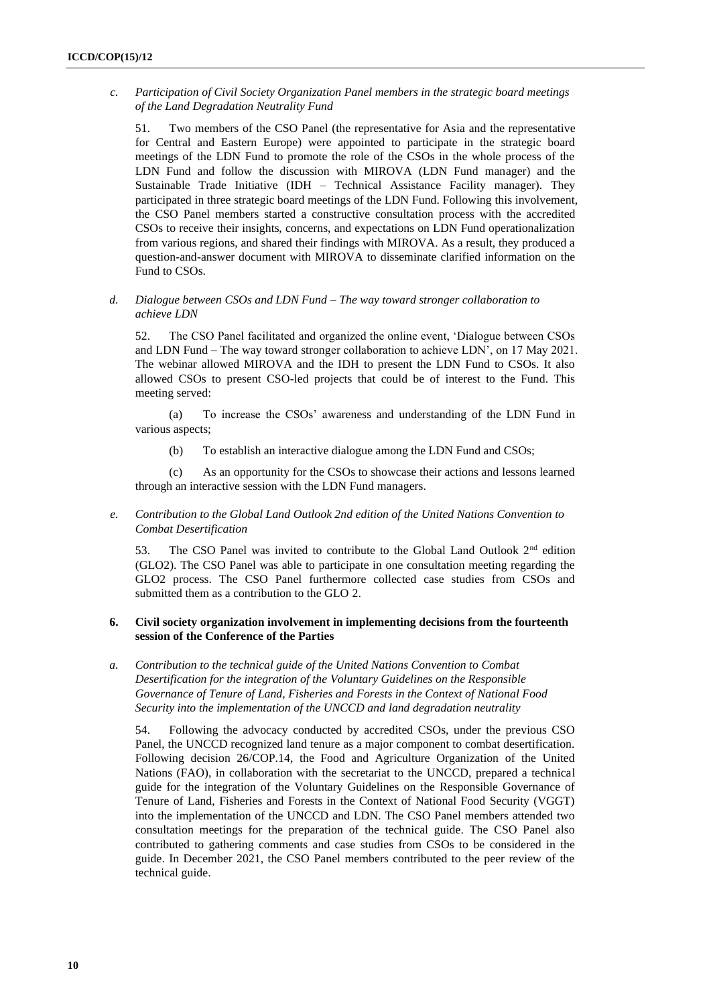*c. Participation of Civil Society Organization Panel members in the strategic board meetings of the Land Degradation Neutrality Fund*

51. Two members of the CSO Panel (the representative for Asia and the representative for Central and Eastern Europe) were appointed to participate in the strategic board meetings of the LDN Fund to promote the role of the CSOs in the whole process of the LDN Fund and follow the discussion with MIROVA (LDN Fund manager) and the Sustainable Trade Initiative (IDH – Technical Assistance Facility manager). They participated in three strategic board meetings of the LDN Fund. Following this involvement, the CSO Panel members started a constructive consultation process with the accredited CSOs to receive their insights, concerns, and expectations on LDN Fund operationalization from various regions, and shared their findings with MIROVA. As a result, they produced a question-and-answer document with MIROVA to disseminate clarified information on the Fund to CSOs.

### *d. Dialogue between CSOs and LDN Fund – The way toward stronger collaboration to achieve LDN*

52. The CSO Panel facilitated and organized the online event, 'Dialogue between CSOs and LDN Fund – The way toward stronger collaboration to achieve LDN', on 17 May 2021. The webinar allowed MIROVA and the IDH to present the LDN Fund to CSOs. It also allowed CSOs to present CSO-led projects that could be of interest to the Fund. This meeting served:

(a) To increase the CSOs' awareness and understanding of the LDN Fund in various aspects;

(b) To establish an interactive dialogue among the LDN Fund and CSOs;

(c) As an opportunity for the CSOs to showcase their actions and lessons learned through an interactive session with the LDN Fund managers.

## *e. Contribution to the Global Land Outlook 2nd edition of the United Nations Convention to Combat Desertification*

53. The CSO Panel was invited to contribute to the Global Land Outlook 2<sup>nd</sup> edition (GLO2). The CSO Panel was able to participate in one consultation meeting regarding the GLO2 process. The CSO Panel furthermore collected case studies from CSOs and submitted them as a contribution to the GLO 2.

## **6. Civil society organization involvement in implementing decisions from the fourteenth session of the Conference of the Parties**

*a. Contribution to the technical guide of the United Nations Convention to Combat Desertification for the integration of the Voluntary Guidelines on the Responsible Governance of Tenure of Land, Fisheries and Forests in the Context of National Food Security into the implementation of the UNCCD and land degradation neutrality*

54. Following the advocacy conducted by accredited CSOs, under the previous CSO Panel, the UNCCD recognized land tenure as a major component to combat desertification. Following decision 26/COP.14, the Food and Agriculture Organization of the United Nations (FAO), in collaboration with the secretariat to the UNCCD, prepared a technical guide for the integration of the Voluntary Guidelines on the Responsible Governance of Tenure of Land, Fisheries and Forests in the Context of National Food Security (VGGT) into the implementation of the UNCCD and LDN. The CSO Panel members attended two consultation meetings for the preparation of the technical guide. The CSO Panel also contributed to gathering comments and case studies from CSOs to be considered in the guide. In December 2021, the CSO Panel members contributed to the peer review of the technical guide.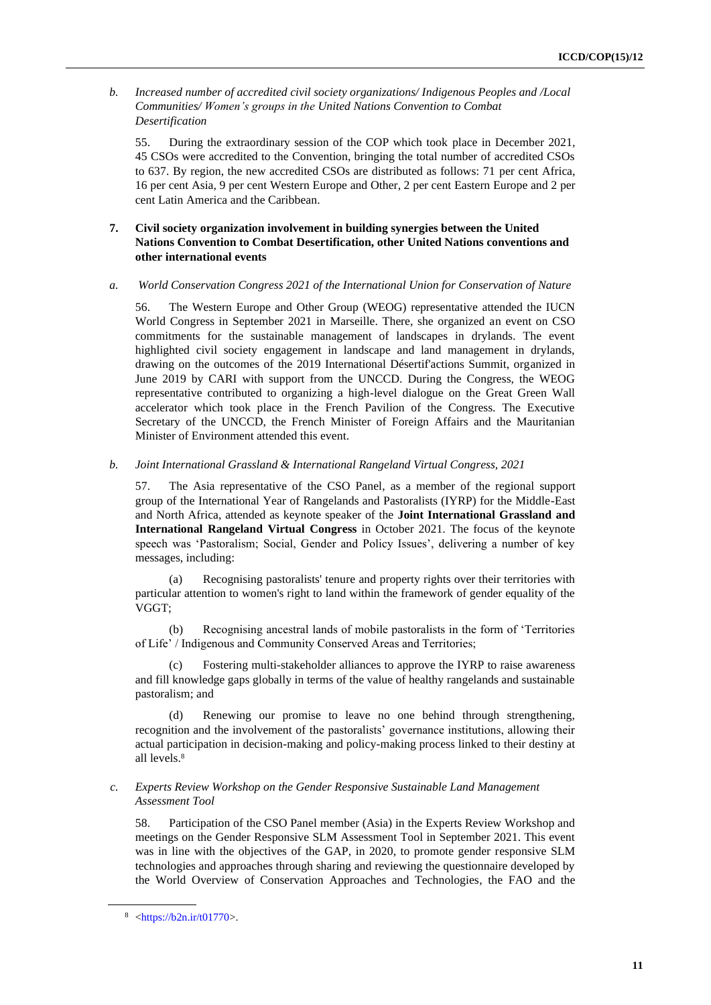*b. Increased number of accredited civil society organizations/ Indigenous Peoples and /Local Communities/ Women's groups in the United Nations Convention to Combat Desertification*

55. During the extraordinary session of the COP which took place in December 2021, 45 CSOs were accredited to the Convention, bringing the total number of accredited CSOs to 637. By region, the new accredited CSOs are distributed as follows: 71 per cent Africa, 16 per cent Asia, 9 per cent Western Europe and Other, 2 per cent Eastern Europe and 2 per cent Latin America and the Caribbean.

## **7. Civil society organization involvement in building synergies between the United Nations Convention to Combat Desertification, other United Nations conventions and other international events**

*a. World Conservation Congress 2021 of the International Union for Conservation of Nature*

56. The Western Europe and Other Group (WEOG) representative attended the IUCN World Congress in September 2021 in Marseille. There, she organized an event on CSO commitments for the sustainable management of landscapes in drylands. The event highlighted civil society engagement in landscape and land management in drylands, drawing on the outcomes of the 2019 International Désertif'actions Summit, organized in June 2019 by CARI with support from the UNCCD. During the Congress, the WEOG representative contributed to organizing a high-level dialogue on the Great Green Wall accelerator which took place in the French Pavilion of the Congress. The Executive Secretary of the UNCCD, the French Minister of Foreign Affairs and the Mauritanian Minister of Environment attended this event.

*b. Joint International Grassland & International Rangeland Virtual Congress, 2021*

57. The Asia representative of the CSO Panel, as a member of the regional support group of the International Year of Rangelands and Pastoralists (IYRP) for the Middle-East and North Africa, attended as keynote speaker of the **Joint International Grassland and International Rangeland Virtual Congress** in October 2021. The focus of the keynote speech was 'Pastoralism; Social, Gender and Policy Issues', delivering a number of key messages, including:

(a) Recognising pastoralists' tenure and property rights over their territories with particular attention to women's right to land within the framework of gender equality of the VGGT;

(b) Recognising ancestral lands of mobile pastoralists in the form of 'Territories of Life' / Indigenous and Community Conserved Areas and Territories;

Fostering multi-stakeholder alliances to approve the IYRP to raise awareness and fill knowledge gaps globally in terms of the value of healthy rangelands and sustainable pastoralism; and

(d) Renewing our promise to leave no one behind through strengthening, recognition and the involvement of the pastoralists' governance institutions, allowing their actual participation in decision-making and policy-making process linked to their destiny at all levels.<sup>8</sup>

## *c. Experts Review Workshop on the Gender Responsive Sustainable Land Management Assessment Tool*

58. Participation of the CSO Panel member (Asia) in the Experts Review Workshop and meetings on the Gender Responsive SLM Assessment Tool in September 2021. This event was in line with the objectives of the GAP, in 2020, to promote gender responsive SLM technologies and approaches through sharing and reviewing the questionnaire developed by the World Overview of Conservation Approaches and Technologies, the FAO and the

 $8$  [<https://b2n.ir/t01770>](https://b2n.ir/t01770).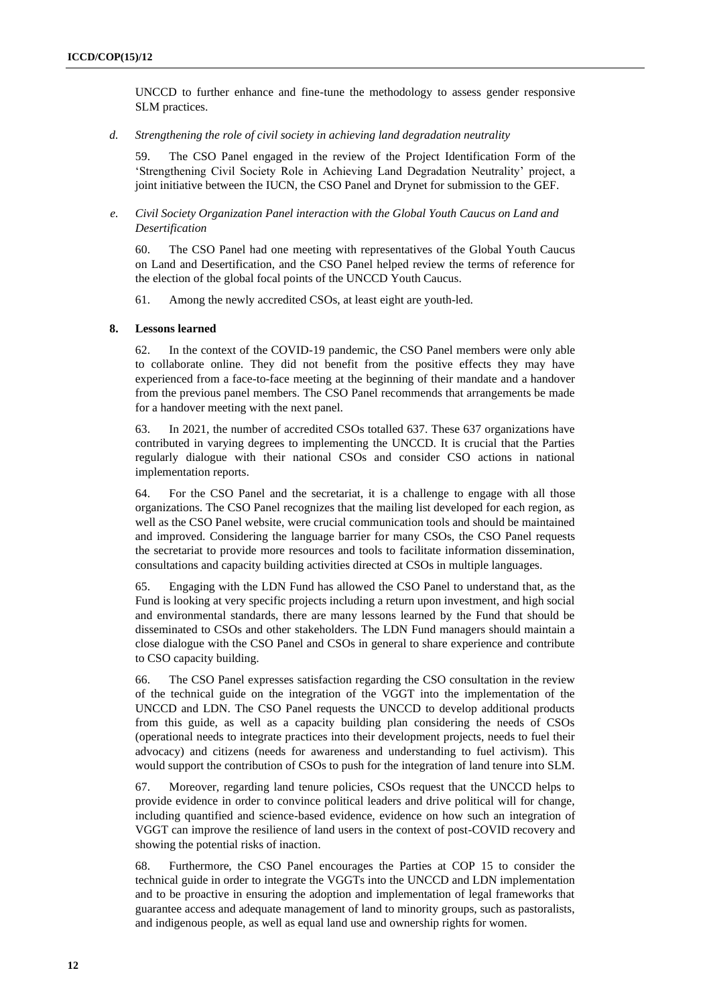UNCCD to further enhance and fine-tune the methodology to assess gender responsive SLM practices.

*d. Strengthening the role of civil society in achieving land degradation neutrality*

59. The CSO Panel engaged in the review of the Project Identification Form of the 'Strengthening Civil Society Role in Achieving Land Degradation Neutrality' project, a joint initiative between the IUCN, the CSO Panel and Drynet for submission to the GEF.

*e. Civil Society Organization Panel interaction with the Global Youth Caucus on Land and Desertification* 

60. The CSO Panel had one meeting with representatives of the Global Youth Caucus on Land and Desertification, and the CSO Panel helped review the terms of reference for the election of the global focal points of the UNCCD Youth Caucus.

61. Among the newly accredited CSOs, at least eight are youth-led.

#### **8. Lessons learned**

62. In the context of the COVID-19 pandemic, the CSO Panel members were only able to collaborate online. They did not benefit from the positive effects they may have experienced from a face-to-face meeting at the beginning of their mandate and a handover from the previous panel members. The CSO Panel recommends that arrangements be made for a handover meeting with the next panel.

63. In 2021, the number of accredited CSOs totalled 637. These 637 organizations have contributed in varying degrees to implementing the UNCCD. It is crucial that the Parties regularly dialogue with their national CSOs and consider CSO actions in national implementation reports.

64. For the CSO Panel and the secretariat, it is a challenge to engage with all those organizations. The CSO Panel recognizes that the mailing list developed for each region, as well as the CSO Panel website, were crucial communication tools and should be maintained and improved. Considering the language barrier for many CSOs, the CSO Panel requests the secretariat to provide more resources and tools to facilitate information dissemination, consultations and capacity building activities directed at CSOs in multiple languages.

65. Engaging with the LDN Fund has allowed the CSO Panel to understand that, as the Fund is looking at very specific projects including a return upon investment, and high social and environmental standards, there are many lessons learned by the Fund that should be disseminated to CSOs and other stakeholders. The LDN Fund managers should maintain a close dialogue with the CSO Panel and CSOs in general to share experience and contribute to CSO capacity building.

66. The CSO Panel expresses satisfaction regarding the CSO consultation in the review of the technical guide on the integration of the VGGT into the implementation of the UNCCD and LDN. The CSO Panel requests the UNCCD to develop additional products from this guide, as well as a capacity building plan considering the needs of CSOs (operational needs to integrate practices into their development projects, needs to fuel their advocacy) and citizens (needs for awareness and understanding to fuel activism). This would support the contribution of CSOs to push for the integration of land tenure into SLM.

67. Moreover, regarding land tenure policies, CSOs request that the UNCCD helps to provide evidence in order to convince political leaders and drive political will for change, including quantified and science-based evidence, evidence on how such an integration of VGGT can improve the resilience of land users in the context of post-COVID recovery and showing the potential risks of inaction.

68. Furthermore, the CSO Panel encourages the Parties at COP 15 to consider the technical guide in order to integrate the VGGTs into the UNCCD and LDN implementation and to be proactive in ensuring the adoption and implementation of legal frameworks that guarantee access and adequate management of land to minority groups, such as pastoralists, and indigenous people, as well as equal land use and ownership rights for women.